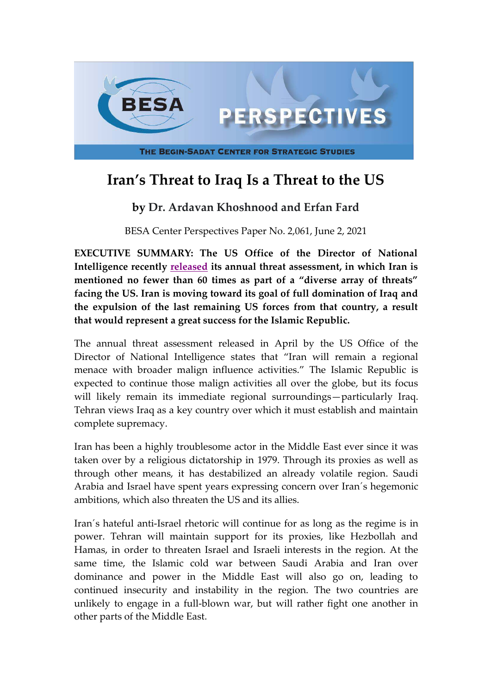

## **Iran's Threat to Iraq Is a Threat to the US**

## **by Dr. Ardavan Khoshnood and Erfan Fard**

BESA Center Perspectives Paper No. 2,061, June 2, 2021

**EXECUTIVE SUMMARY: The US Office of the Director of National Intelligence recently [released](https://www.dni.gov/files/ODNI/documents/assessments/ATA-2021-Unclassified-Report.pdf) its annual threat assessment, in which Iran is mentioned no fewer than 60 times as part of a "diverse array of threats" facing the US. Iran is moving toward its goal of full domination of Iraq and the expulsion of the last remaining US forces from that country, a result that would represent a great success for the Islamic Republic.**

The annual threat assessment released in April by the US Office of the Director of National Intelligence states that "Iran will remain a regional menace with broader malign influence activities." The Islamic Republic is expected to continue those malign activities all over the globe, but its focus will likely remain its immediate regional surroundings—particularly Iraq. Tehran views Iraq as a key country over which it must establish and maintain complete supremacy.

Iran has been a highly troublesome actor in the Middle East ever since it was taken over by a religious dictatorship in 1979. Through its proxies as well as through other means, it has destabilized an already volatile region. Saudi Arabia and Israel have spent years expressing concern over Iran´s hegemonic ambitions, which also threaten the US and its allies.

Iran´s hateful anti-Israel rhetoric will continue for as long as the regime is in power. Tehran will maintain support for its proxies, like Hezbollah and Hamas, in order to threaten Israel and Israeli interests in the region. At the same time, the Islamic cold war between Saudi Arabia and Iran over dominance and power in the Middle East will also go on, leading to continued insecurity and instability in the region. The two countries are unlikely to engage in a full-blown war, but will rather fight one another in other parts of the Middle East.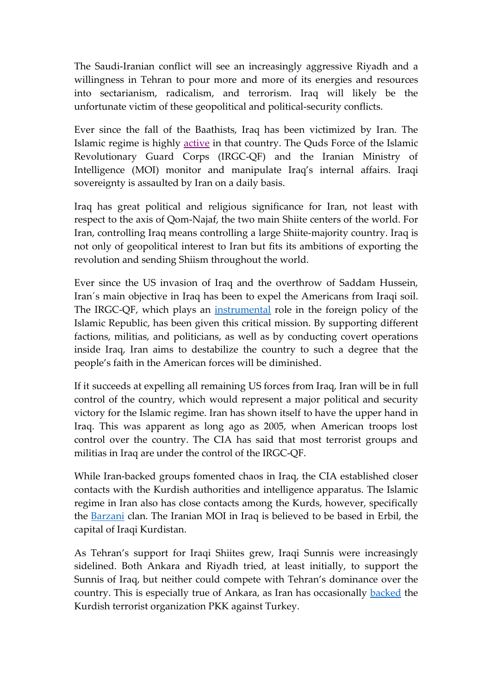The Saudi-Iranian conflict will see an increasingly aggressive Riyadh and a willingness in Tehran to pour more and more of its energies and resources into sectarianism, radicalism, and terrorism. Iraq will likely be the unfortunate victim of these geopolitical and political-security conflicts.

Ever since the fall of the Baathists, Iraq has been victimized by Iran. The Islamic regime is highly [active](https://theintercept.com/series/iran-cables/) in that country. The Quds Force of the Islamic Revolutionary Guard Corps (IRGC-QF) and the Iranian Ministry of Intelligence (MOI) monitor and manipulate Iraq's internal affairs. Iraqi sovereignty is assaulted by Iran on a daily basis.

Iraq has great political and religious significance for Iran, not least with respect to the axis of Qom-Najaf, the two main Shiite centers of the world. For Iran, controlling Iraq means controlling a large Shiite-majority country. Iraq is not only of geopolitical interest to Iran but fits its ambitions of exporting the revolution and sending Shiism throughout the world.

Ever since the US invasion of Iraq and the overthrow of Saddam Hussein, Iran´s main objective in Iraq has been to expel the Americans from Iraqi soil. The IRGC-QF, which plays an [instrumental](http://www.cejiss.org/issue-detail/knoshnood2020) role in the foreign policy of the Islamic Republic, has been given this critical mission. By supporting different factions, militias, and politicians, as well as by conducting covert operations inside Iraq, Iran aims to destabilize the country to such a degree that the people's faith in the American forces will be diminished.

If it succeeds at expelling all remaining US forces from Iraq, Iran will be in full control of the country, which would represent a major political and security victory for the Islamic regime. Iran has shown itself to have the upper hand in Iraq. This was apparent as long ago as 2005, when American troops lost control over the country. The CIA has said that most terrorist groups and militias in Iraq are under the control of the IRGC-QF.

While Iran-backed groups fomented chaos in Iraq, the CIA established closer contacts with the Kurdish authorities and intelligence apparatus. The Islamic regime in Iran also has close contacts among the Kurds, however, specifically the [Barzani](https://www.mashreghnews.ir/news/574007/%D8%AF%DB%8C%D8%AF%D8%A7%D8%B1-%D9%88%D8%B2%DB%8C%D8%B1-%D8%A7%D8%B7%D9%84%D8%A7%D8%B9%D8%A7%D8%AA-%D8%A7%DB%8C%D8%B1%D8%A7%D9%86-%D8%A8%D8%A7-%D9%85%D8%B3%D8%B9%D9%88%D8%AF-%D8%A8%D8%A7%D8%B1%D8%B2%D8%A7%D9%86%DB%8C) clan. The Iranian MOI in Iraq is believed to be based in Erbil, the capital of Iraqi Kurdistan.

As Tehran's support for Iraqi Shiites grew, Iraqi Sunnis were increasingly sidelined. Both Ankara and Riyadh tried, at least initially, to support the Sunnis of Iraq, but neither could compete with Tehran's dominance over the country. This is especially true of Ankara, as Iran has occasionally [backed](https://www.dailysabah.com/politics/news-analysis/iran-pkk-cooperation-exposed-over-sinjar-operation-experts) the Kurdish terrorist organization PKK against Turkey.